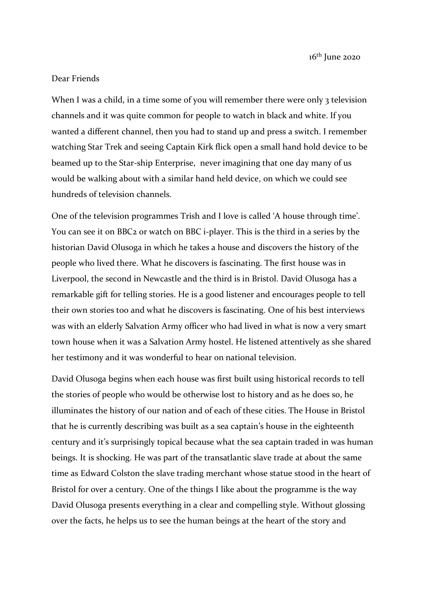$16<sup>th</sup>$  June 2020

## Dear Friends

When I was a child, in a time some of you will remember there were only 3 television channels and it was quite common for people to watch in black and white. If you wanted a different channel, then you had to stand up and press a switch. I remember watching Star Trek and seeing Captain Kirk flick open a small hand hold device to be beamed up to the Star-ship Enterprise, never imagining that one day many of us would be walking about with a similar hand held device, on which we could see hundreds of television channels.

One of the television programmes Trish and I love is called 'A house through time'. You can see it on BBC<sub>2</sub> or watch on BBC i-player. This is the third in a series by the historian David Olusoga in which he takes a house and discovers the history of the people who lived there. What he discovers is fascinating. The first house was in Liverpool, the second in Newcastle and the third is in Bristol. David Olusoga has a remarkable gift for telling stories. He is a good listener and encourages people to tell their own stories too and what he discovers is fascinating. One of his best interviews was with an elderly Salvation Army officer who had lived in what is now a very smart town house when it was a Salvation Army hostel. He listened attentively as she shared her testimony and it was wonderful to hear on national television.

David Olusoga begins when each house was first built using historical records to tell the stories of people who would be otherwise lost to history and as he does so, he illuminates the history of our nation and of each of these cities. The House in Bristol that he is currently describing was built as a sea captain's house in the eighteenth century and it's surprisingly topical because what the sea captain traded in was human beings. It is shocking. He was part of the transatlantic slave trade at about the same time as Edward Colston the slave trading merchant whose statue stood in the heart of Bristol for over a century. One of the things I like about the programme is the way David Olusoga presents everything in a clear and compelling style. Without glossing over the facts, he helps us to see the human beings at the heart of the story and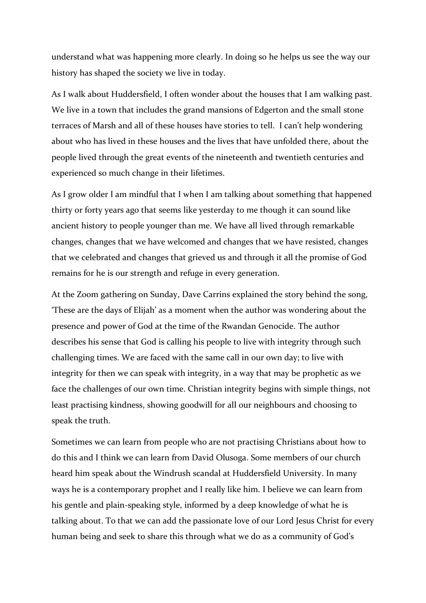understand what was happening more clearly. In doing so he helps us see the way our history has shaped the society we live in today.

As I walk about Huddersfield, I often wonder about the houses that I am walking past. We live in a town that includes the grand mansions of Edgerton and the small stone terraces of Marsh and all of these houses have stories to tell. I can't help wondering about who has lived in these houses and the lives that have unfolded there, about the people lived through the great events of the nineteenth and twentieth centuries and experienced so much change in their lifetimes.

As I grow older I am mindful that I when I am talking about something that happened thirty or forty years ago that seems like yesterday to me though it can sound like ancient history to people younger than me. We have all lived through remarkable changes, changes that we have welcomed and changes that we have resisted, changes that we celebrated and changes that grieved us and through it all the promise of God remains for he is our strength and refuge in every generation.

At the Zoom gathering on Sunday, Dave Carrins explained the story behind the song, 'These are the days of Elijah' as a moment when the author was wondering about the presence and power of God at the time of the Rwandan Genocide. The author describes his sense that God is calling his people to live with integrity through such challenging times. We are faced with the same call in our own day; to live with integrity for then we can speak with integrity, in a way that may be prophetic as we face the challenges of our own time. Christian integrity begins with simple things, not least practising kindness, showing goodwill for all our neighbours and choosing to speak the truth.

Sometimes we can learn from people who are not practising Christians about how to do this and I think we can learn from David Olusoga. Some members of our church heard him speak about the Windrush scandal at Huddersfield University. In many ways he is a contemporary prophet and I really like him. I believe we can learn from his gentle and plain-speaking style, informed by a deep knowledge of what he is talking about. To that we can add the passionate love of our Lord Jesus Christ for every human being and seek to share this through what we do as a community of God's